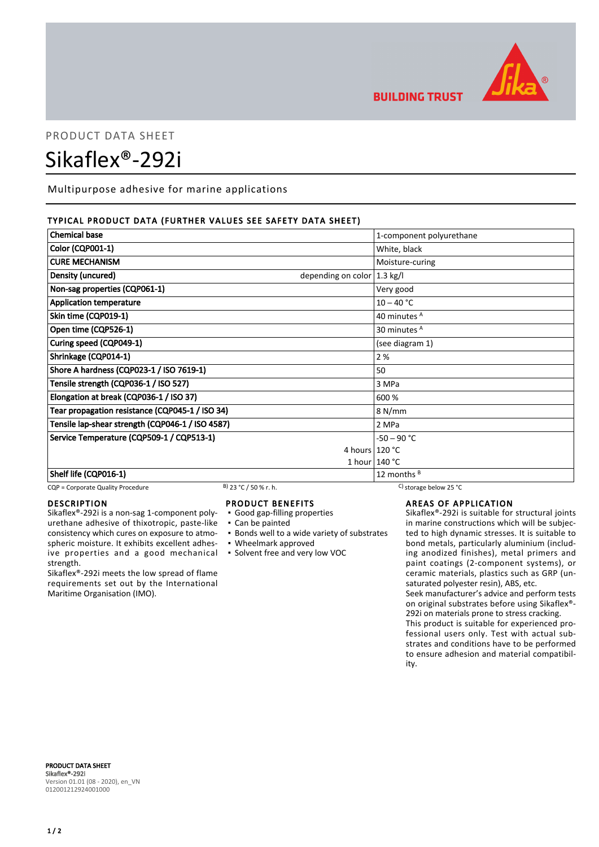

# **BUILDING TRUST**

# PRODUCT DATA SHEET Sikaflex®-292i

Multipurpose adhesive for marine applications

# TYPICAL PRODUCT DATA (FURTHER VALUES SEE SAFETY DATA SHEET)

| <b>Chemical base</b>                                         | 1-component polyurethane |
|--------------------------------------------------------------|--------------------------|
| <b>Color (CQP001-1)</b>                                      | White, black             |
| <b>CURE MECHANISM</b>                                        | Moisture-curing          |
| Density (uncured)<br>depending on color $ 1.3 \text{ kg}/I $ |                          |
| Non-sag properties (CQP061-1)                                | Very good                |
| <b>Application temperature</b>                               | $10 - 40 °C$             |
| Skin time (CQP019-1)                                         | 40 minutes <sup>A</sup>  |
| Open time (CQP526-1)                                         | 30 minutes <sup>A</sup>  |
| Curing speed (CQP049-1)                                      | (see diagram 1)          |
| Shrinkage (CQP014-1)                                         | 2 %                      |
| Shore A hardness (CQP023-1 / ISO 7619-1)                     | 50                       |
| Tensile strength (CQP036-1 / ISO 527)                        | 3 MPa                    |
| Elongation at break (CQP036-1 / ISO 37)                      | 600 %                    |
| Tear propagation resistance (CQP045-1 / ISO 34)              | 8 N/mm                   |
| Tensile lap-shear strength (CQP046-1 / ISO 4587)             | 2 MPa                    |
| Service Temperature (CQP509-1 / CQP513-1)                    | $-50 - 90 °C$            |
|                                                              | 4 hours 120 °C           |
|                                                              | 1 hour $140 °C$          |
| Shelf life (CQP016-1)                                        | 12 months <sup>B</sup>   |

CQP = Corporate Quality Procedure B) 23 °C / 50 % r. h. C) storage below 25 °C

## **DESCRIPTION**

Sikaflex®-292i is a non-sag 1-component polyurethane adhesive of thixotropic, paste-like consistency which cures on exposure to atmospheric moisture. It exhibits excellent adhesive properties and a good mechanical strength.

Sikaflex®-292i meets the low spread of flame requirements set out by the International Maritime Organisation (IMO).

# PRODUCT BENEFITS

- Good gap-filling properties
- Can be painted
- Bonds well to a wide variety of substrates
- Wheelmark approved
- Solvent free and very low VOC

# AREAS OF APPLICATION

Sikaflex®-292i is suitable for structural joints in marine constructions which will be subjected to high dynamic stresses. It is suitable to bond metals, particularly aluminium (including anodized finishes), metal primers and paint coatings (2-component systems), or ceramic materials, plastics such as GRP (unsaturated polyester resin), ABS, etc.

Seek manufacturer's advice and perform tests on original substrates before using Sikaflex®- 292i on materials prone to stress cracking.

This product is suitable for experienced professional users only. Test with actual substrates and conditions have to be performed to ensure adhesion and material compatibility.